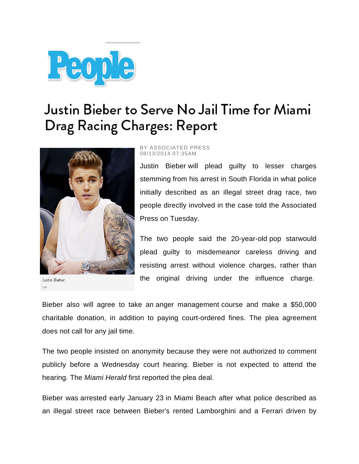

## Justin Bieber to Serve No Jail Time for Miami Drag Racing Charges: Report



BY ASSOCIATED PRESS 08/13/2014 07:35AM

Justin Bieber will plead guilty to lesser charges stemming from his arrest in South Florida in what police initially described as an illegal street drag race, two people directly involved in the case told the Associated Press on Tuesday.

The two people said the 20-year-old pop starwould plead guilty to misdemeanor careless driving and resisting arrest without violence charges, rather than the original driving under the influence charge.

**Justin Bieber** 

Bieber also will agree to take an anger management course and make a \$50,000 charitable donation, in addition to paying court-ordered fines. The plea agreement does not call for any jail time.

The two people insisted on anonymity because they were not authorized to comment publicly before a Wednesday court hearing. Bieber is not expected to attend the hearing. The *Miami Herald* first reported the plea deal.

Bieber was arrested early January 23 in Miami Beach after what police described as an illegal street race between Bieber's rented Lamborghini and a Ferrari driven by